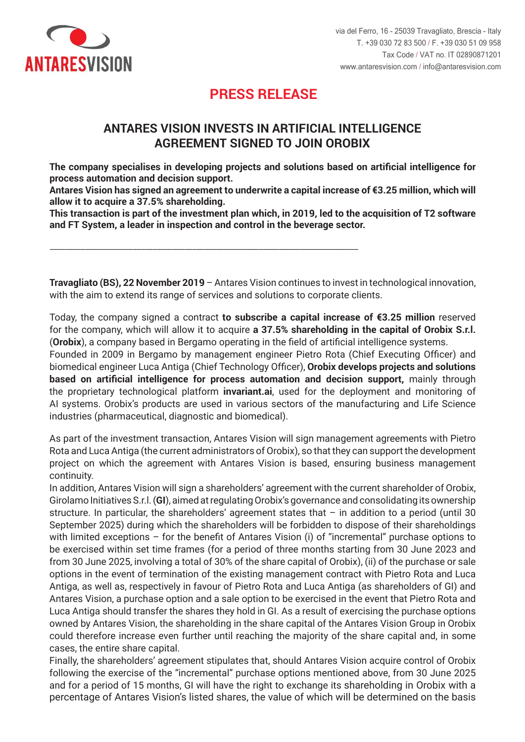

## **PRESS RELEASE PRESS RELEASE**

### **ANTARES VISION INVESTS IN ARTIFICIAL INTELLIGENCE AGREEMENT SIGNED TO JOIN OROBIX**

The company specialises in developing projects and solutions based on artificial intelligence for process automation and decision support.

**Antares Vision has signed an agreement to underwrite a capital increase of €3.25 million, which will 3,25 milioni di euro che le permetterà di acquisire una partecipazione del 37,5%. allow it to acquire a 37.5% shareholding.**

This transaction is part of the investment plan which, in 2019, led to the acquisition of T2 software and FT System, a leader in inspection and control in the beverage sector.

\_\_\_\_\_\_\_\_\_\_\_\_\_\_\_\_\_\_\_\_\_\_\_\_\_\_\_\_\_\_\_\_\_\_\_\_\_\_\_\_\_\_\_\_\_\_\_\_\_\_\_\_\_\_\_\_\_\_\_\_\_\_\_\_\_\_\_\_\_\_\_\_\_\_\_\_\_\_

Travagliato (BS), 22 November 2019 - Antares Vision continues to invest in technological innovation, with the aim to extend its range of services and solutions to corporate clients.

Today, the company signed a contract **to subscribe a capital increase of €3.25 million** reserved for the company, which will allow it to acquire **a 37.5% shareholding in the capital of Orobix S.r.l.** (Orobix), a company based in Bergamo operating in the field of artificial intelligence systems.

Founded in 2009 in Bergamo by management engineer Pietro Rota (Chief Executing Officer) and biomedical engineer Luca Antiga (Chief Technology Officer), **Orobix develops projects and solutions bishiparts are support and artificial intelligence for process automation and decision support,** mainly through atted on aranolar intelligence for process accomation and accident support, mainly alleagned the proprietary technological platform **invariant.ai**, used for the deployment and monitoring of monitorali sistemi di sistemi di sistemi di Sistemi di Orobis trova utilizzativa una montoni di Sistema.<br>Al settori se Orobis trova deste ser essetto settori sestema sfella manufatori negli l'industria se AI systems. Orobix's products are used in various sectors of the manufacturing and Life Science industries (pharmaceutical, diagnostic and biomedical).

.<br>As part of the investment transaction, Antares Vision will sign management agreements with Pietro As part di the investment transaction, Antares vision will sign management agreements with rietro.<br>Professionalistic di management, antare di management, affiniti di management, and a la cordi di management di Rota and Luca Antiga (the current administrators of Orobix), so that they can support the development project on which the agreement with Antares Vision is based, ensuring business management Inoltre, Antares Vision sottoscriverà con l'attuale socio di Orobix, Girolamo Initiatives S.r.l. (**GI**), un continuity.

In addition, Antares Vision will sign a shareholders' agreement with the current shareholder of Orobix, Girolamo Initiatives S.r.l. (**GI**), aimed at regulating Orobix's governance and consolidating its ownership structure. In particular, the shareholders' agreement states that - in addition to a period (until 30 September 2025) during which the shareholders will be forbidden to dispose of their shareholdings with limited exceptions – for the benefit of Antares Vision (i) of "incremental" purchase options to be exercised within set time frames (for a period of three months starting from 30 June 2023 and from 30 June 2025, involving a total of 30% of the share capital of Orobix), (ii) of the purchase or sale options in the event of termination of the existing management contract with Pietro Rota and Luca Antiga, as well as, respectively in favour of Pietro Rota and Luca Antiga (as shareholders of GI) and Antares Vision, a purchase option and a sale option to be exercised in the event that Pietro Rota and Luca Antiga should transfer the shares they hold in GI. As a result of exercising the purchase options partecipating a should delibere the sharebolding in the share capital of the Antares Vision Group in Orobix powned by Antares Vision, the shareholding in the share capital of the Antares Vision Group in Orobix umica by mitated violon, the onatenorality in the onate oapital of the mitated violon order in order. could therefore increase even further until reaching the majority of the share capital and, in some<br>concenting with a state of the constal Lascs, ille chili chale capital.<br>En il patto prevede che, qualora Antares Vision venisse a detenere il controllo di controllo di controllo di c cases, the entire share capital.

Finally, the shareholders' agreement stipulates that, should Antares Vision acquire control of Orobix following the exercise of the "incremental" purchase options mentioned above, from 30 June 2025 and for a period of 15 months, GI will have the right to exchange its shareholding in Orobix with a percentage of Antares Vision's listed shares, the value of which will be determined on the basis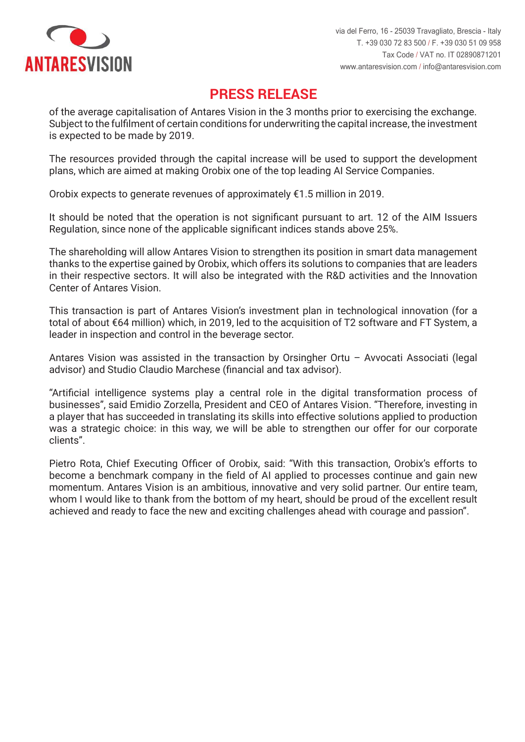

# **PRESS RELEASE PRESS RELEASE**

of the average capitalisation of Antares Vision in the 3 months prior to exercising the exchange. Subject to the fulfilment of certain conditions for underwriting the capital increase, the investment is expected to be made by 2019.

The resources provided through the capital increase will be used to support the development plans, which are aimed at making Orobix one of the top leading AI Service Companies.

Orobix expects to generate revenues of approximately €1.5 million in 2019.

Regulation, since none of the applicable significant indices stands above 25%. It should be noted that the operation is not significant pursuant to art. 12 of the AIM Issuers

The shareholding will allow Antares Vision to strengthen its position in smart data management thanks to the expertise gained by Orobix, which offers its solutions to companies that are leaders La partecipazione consentirà ad Antares Vision di rafforzare il posizione di rafforzare il posizione di rafforzare il posizione di rafforzare il posizione di rafforzare il posizione di rafforzare il posizione di rafforzare in their respective sectors. It will also be integrated with the R&D activities and the Innovation

This transaction is part of Antares Vision's investment plan in technological innovation (for a total of about €64 million) which, in 2019, led to the acquisition of T2 software and FT System, a leader in inspection and control in the beverage sector.

Antares Vision was assisted in the transaction by Orsingher Ortu - Avvocati Associati (legal advisor) and Studio Claudio Marchese (financial and tax advisor).

"Artificial intelligence systems play a central role in the digital transformation process of businesses", said Emidio Zorzella, President and CEO of Antares Vision. "Therefore, investing in was a strategic choice: in this way, we will be able to strengthen our offer for our corporate delle imprese dell'arato della della dichiarato Emidio Zorzella, Presidente e Amministratore Delegato di Antar<br>Delle Sorzella, Presidente e Amministratore Delegato di Antares di Antares di Antares di Antares di Antares di a player that has succeeded in translating its skills into effective solutions applied to production clients".

Pietro Rota, Chief Executing Officer of Orobix, said: "With this transaction, Orobix's efforts to become a benchmark company in the field of AI applied to processes continue and gain new whom I would like to thank from the bottom of my heart, should be proud of the excellent result achieved and ready to face the new and exciting challenges ahead with courage and passion". dell'AI applicata ai processi. Antares Vision è un partner ambizioso, innovativo e di grande momentum. Antares Vision is an ambitious, innovative and very solid partner. Our entire team,